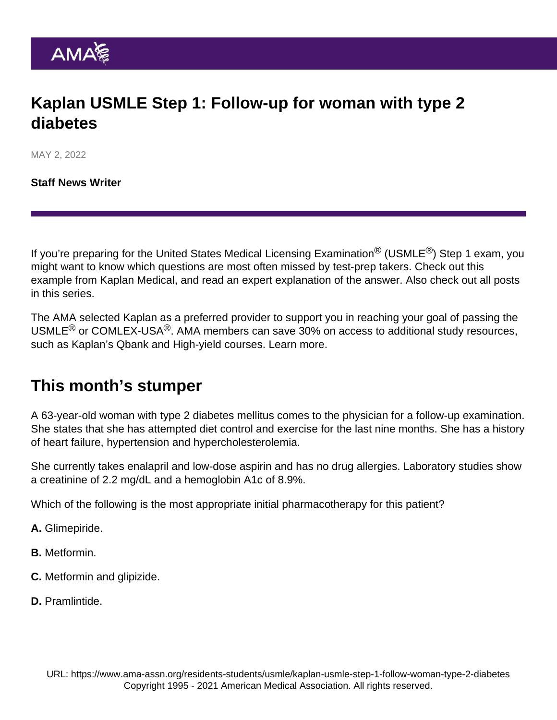# Kaplan USMLE Step 1: Follow-up for woman with type 2 diabetes

MAY 2, 2022

[Staff News Writer](https://www.ama-assn.org/news-leadership-viewpoints/authors-news-leadership-viewpoints/staff-news-writer)

If you're preparing for the United States Medical Licensing Examination<sup>®</sup> (USMLE<sup>®</sup>) Step 1 exam, you might want to know which questions are most often missed by test-prep takers. Check out this example from Kaplan Medical, and read an expert explanation of the answer. Also check out [all posts](https://www.ama-assn.org/series/kaplan-usmle-step-1-prep-questions) [in this series.](https://www.ama-assn.org/series/kaplan-usmle-step-1-prep-questions)

The AMA selected Kaplan as a preferred provider to support you in reaching your goal of passing the USMLE<sup>®</sup> or COMLEX-USA<sup>®</sup>. AMA members can save 30% on access to additional study resources, such as Kaplan's Qbank and High-yield courses. [Learn more.](https://www.ama-assn.org/ama-member-benefits/individual-member-benefits/educational-student-discounts)

## This month's stumper

A 63-year-old woman with type 2 diabetes mellitus comes to the physician for a follow-up examination. She states that she has attempted diet control and exercise for the last nine months. She has a history of heart failure, hypertension and hypercholesterolemia.

She currently takes enalapril and low-dose aspirin and has no drug allergies. Laboratory studies show a creatinine of 2.2 mg/dL and a hemoglobin A1c of 8.9%.

Which of the following is the most appropriate initial pharmacotherapy for this patient?

- A. Glimepiride.
- B. Metformin.
- C. Metformin and glipizide.
- D. Pramlintide.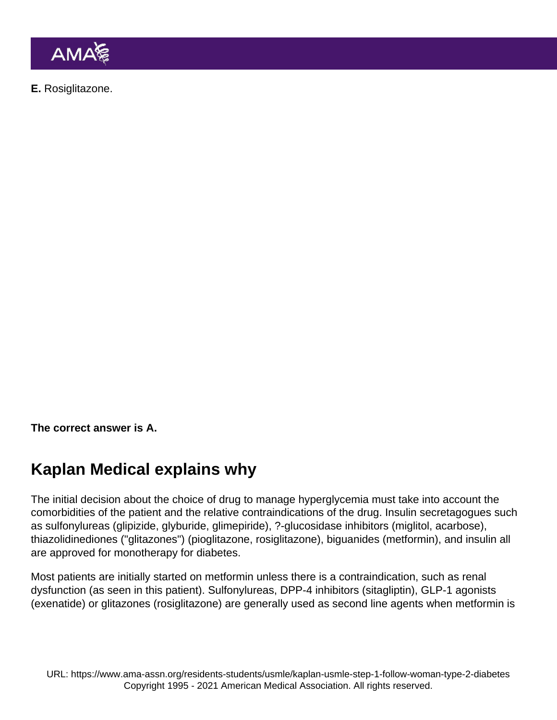E. Rosiglitazone.

The correct answer is A.

### Kaplan Medical explains why

The initial decision about the choice of drug to manage hyperglycemia must take into account the comorbidities of the patient and the relative contraindications of the drug. Insulin secretagogues such as sulfonylureas (glipizide, glyburide, glimepiride), ?-glucosidase inhibitors (miglitol, acarbose), thiazolidinediones ("glitazones") (pioglitazone, rosiglitazone), biguanides (metformin), and insulin all are approved for monotherapy for diabetes.

Most patients are initially started on metformin unless there is a contraindication, such as renal dysfunction (as seen in this patient). Sulfonylureas, DPP-4 inhibitors (sitagliptin), GLP-1 agonists (exenatide) or glitazones (rosiglitazone) are generally used as second line agents when metformin is